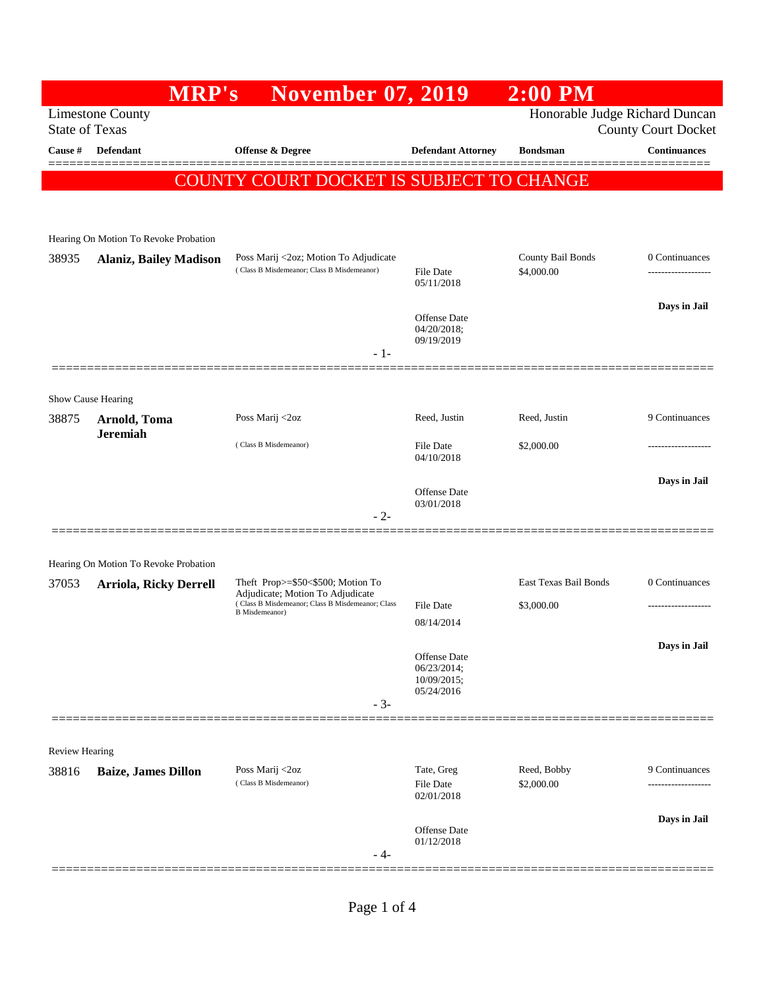|                       |                                                                        | <b>MRP's</b> | <b>November 07, 2019</b>                                                                                      |                                                          | $2:00$ PM                       |                                     |
|-----------------------|------------------------------------------------------------------------|--------------|---------------------------------------------------------------------------------------------------------------|----------------------------------------------------------|---------------------------------|-------------------------------------|
| <b>State of Texas</b> | <b>Limestone County</b>                                                |              |                                                                                                               |                                                          | Honorable Judge Richard Duncan  | <b>County Court Docket</b>          |
| Cause #               | <b>Defendant</b>                                                       |              | Offense & Degree                                                                                              | <b>Defendant Attorney</b>                                | <b>Bondsman</b>                 | <b>Continuances</b>                 |
|                       |                                                                        |              | COUNTY COURT DOCKET IS SUBJECT TO CHANGE                                                                      |                                                          |                                 |                                     |
|                       |                                                                        |              |                                                                                                               |                                                          |                                 |                                     |
|                       | Hearing On Motion To Revoke Probation                                  |              |                                                                                                               |                                                          |                                 |                                     |
| 38935                 | <b>Alaniz, Bailey Madison</b>                                          |              | Poss Marij <2oz; Motion To Adjudicate<br>(Class B Misdemeanor; Class B Misdemeanor)                           | File Date<br>05/11/2018                                  | County Bail Bonds<br>\$4,000.00 | 0 Continuances<br>----------------- |
|                       |                                                                        |              |                                                                                                               | Offense Date<br>04/20/2018;<br>09/19/2019                |                                 | Days in Jail                        |
|                       |                                                                        |              | $-1-$                                                                                                         |                                                          |                                 |                                     |
|                       | Show Cause Hearing                                                     |              |                                                                                                               |                                                          |                                 |                                     |
| 38875                 | Arnold, Toma<br><b>Jeremiah</b>                                        |              | Poss Marij <2oz                                                                                               | Reed, Justin                                             | Reed, Justin                    | 9 Continuances                      |
|                       |                                                                        |              | (Class B Misdemeanor)                                                                                         | <b>File Date</b><br>04/10/2018                           | \$2,000.00                      |                                     |
|                       |                                                                        |              |                                                                                                               | Offense Date                                             |                                 | Days in Jail                        |
|                       |                                                                        |              | $-2-$                                                                                                         | 03/01/2018                                               |                                 |                                     |
|                       |                                                                        |              |                                                                                                               |                                                          |                                 |                                     |
| 37053                 | Hearing On Motion To Revoke Probation<br><b>Arriola, Ricky Derrell</b> |              | Theft Prop>=\$50<\$500; Motion To                                                                             |                                                          | East Texas Bail Bonds           | 0 Continuances                      |
|                       |                                                                        |              | Adjudicate; Motion To Adjudicate<br>(Class B Misdemeanor; Class B Misdemeanor; Class<br><b>B</b> Misdemeanor) | File Date                                                | \$3,000.00                      | -----------------                   |
|                       |                                                                        |              |                                                                                                               | 08/14/2014                                               |                                 |                                     |
|                       |                                                                        |              |                                                                                                               | Offense Date<br>06/23/2014;<br>10/09/2015;<br>05/24/2016 |                                 | Days in Jail                        |
|                       |                                                                        |              | $-3-$                                                                                                         |                                                          |                                 |                                     |
| Review Hearing        |                                                                        |              |                                                                                                               |                                                          |                                 |                                     |
| 38816                 | <b>Baize, James Dillon</b>                                             |              | Poss Marij <2oz<br>(Class B Misdemeanor)                                                                      | Tate, Greg<br>File Date<br>02/01/2018                    | Reed, Bobby<br>\$2,000.00       | 9 Continuances                      |
|                       |                                                                        |              |                                                                                                               |                                                          |                                 | Days in Jail                        |
|                       |                                                                        |              | - 4-                                                                                                          | Offense Date<br>01/12/2018                               |                                 |                                     |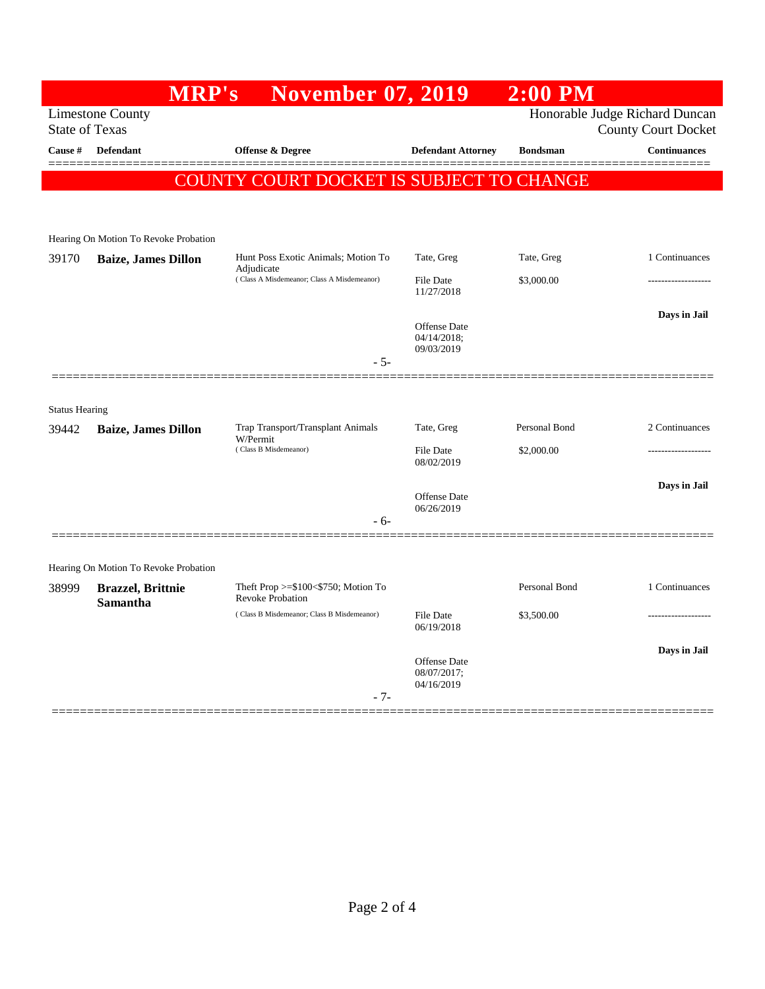|                       | MRP's                                 | <b>November 07, 2019</b>                                         |                                           | $2:00$ PM       |                                |
|-----------------------|---------------------------------------|------------------------------------------------------------------|-------------------------------------------|-----------------|--------------------------------|
|                       | <b>Limestone County</b>               |                                                                  |                                           |                 | Honorable Judge Richard Duncan |
| <b>State of Texas</b> |                                       |                                                                  |                                           |                 | <b>County Court Docket</b>     |
| Cause #               | <b>Defendant</b>                      | <b>Offense &amp; Degree</b>                                      | <b>Defendant Attorney</b>                 | <b>Bondsman</b> | <b>Continuances</b>            |
|                       |                                       | COUNTY COURT DOCKET IS SUBJECT TO CHANGE                         |                                           |                 |                                |
|                       |                                       |                                                                  |                                           |                 |                                |
|                       | Hearing On Motion To Revoke Probation |                                                                  |                                           |                 |                                |
| 39170                 | <b>Baize, James Dillon</b>            | Hunt Poss Exotic Animals; Motion To                              | Tate, Greg                                | Tate, Greg      | 1 Continuances                 |
|                       |                                       | Adjudicate<br>(Class A Misdemeanor; Class A Misdemeanor)         | <b>File Date</b><br>11/27/2018            | \$3,000.00      |                                |
|                       |                                       |                                                                  |                                           |                 | Days in Jail                   |
|                       |                                       |                                                                  | Offense Date<br>04/14/2018;<br>09/03/2019 |                 |                                |
|                       |                                       | $-5-$                                                            |                                           |                 |                                |
|                       |                                       |                                                                  |                                           |                 |                                |
| <b>Status Hearing</b> |                                       |                                                                  |                                           |                 |                                |
| 39442                 | <b>Baize, James Dillon</b>            | Trap Transport/Transplant Animals<br>W/Permit                    | Tate, Greg                                | Personal Bond   | 2 Continuances                 |
|                       |                                       | (Class B Misdemeanor)                                            | File Date<br>08/02/2019                   | \$2,000.00      |                                |
|                       |                                       |                                                                  |                                           |                 | Days in Jail                   |
|                       |                                       |                                                                  | Offense Date<br>06/26/2019                |                 |                                |
|                       |                                       | - 6-                                                             |                                           |                 |                                |
|                       |                                       |                                                                  |                                           |                 |                                |
|                       | Hearing On Motion To Revoke Probation |                                                                  |                                           |                 |                                |
| 38999                 | <b>Brazzel</b> , Brittnie<br>Samantha | Theft Prop >= $$100<$750$ ; Motion To<br><b>Revoke Probation</b> |                                           | Personal Bond   | 1 Continuances                 |
|                       |                                       | (Class B Misdemeanor; Class B Misdemeanor)                       | <b>File Date</b><br>06/19/2018            | \$3,500.00      |                                |
|                       |                                       |                                                                  |                                           |                 | Days in Jail                   |
|                       |                                       |                                                                  | Offense Date<br>08/07/2017;               |                 |                                |
|                       |                                       | $-7-$                                                            | 04/16/2019                                |                 |                                |
|                       |                                       |                                                                  |                                           |                 |                                |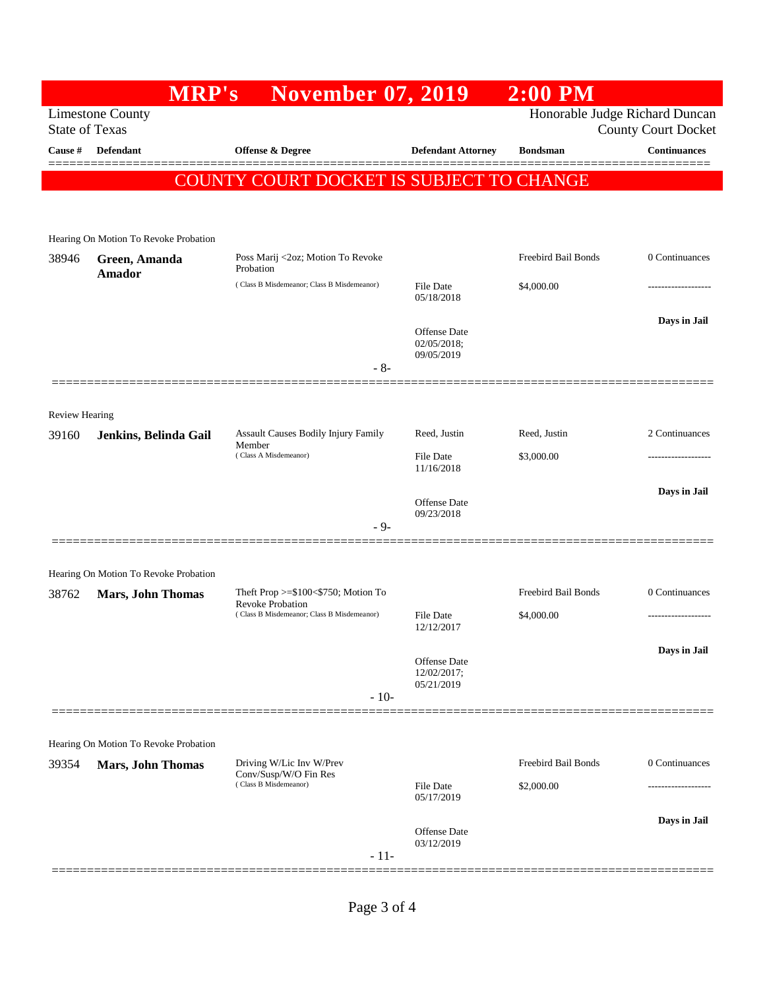| <b>Limestone County</b><br><b>State of Texas</b><br>Cause #<br>Defendant<br><b>Offense &amp; Degree</b><br><b>Defendant Attorney</b><br><b>Bondsman</b><br><b>COUNTY COURT DOCKET IS SUBJECT TO CHANGE</b><br>Hearing On Motion To Revoke Probation<br>Freebird Bail Bonds<br>Poss Marij <2oz; Motion To Revoke<br>38946<br>Green, Amanda<br>Probation<br>Amador<br>(Class B Misdemeanor; Class B Misdemeanor)<br>File Date<br>\$4,000.00<br>05/18/2018<br><b>Offense Date</b><br>02/05/2018;<br>09/05/2019<br>$-8-$<br><b>Review Hearing</b><br>Assault Causes Bodily Injury Family<br>Reed, Justin<br>Reed, Justin<br>39160<br>Jenkins, Belinda Gail<br>Member<br>(Class A Misdemeanor)<br><b>File Date</b><br>\$3,000.00<br>11/16/2018<br><b>Offense Date</b><br>09/23/2018<br>- 9-<br>Hearing On Motion To Revoke Probation<br>Freebird Bail Bonds<br>Theft Prop $>= $100 < $750$ ; Motion To<br>38762<br><b>Mars, John Thomas</b><br>Revoke Probation<br>(Class B Misdemeanor; Class B Misdemeanor)<br>File Date<br>\$4,000.00<br>12/12/2017<br><b>Offense Date</b><br>12/02/2017;<br>05/21/2019<br>$-10-$<br>Hearing On Motion To Revoke Probation<br><b>Freebird Bail Bonds</b><br>Driving W/Lic Inv W/Prev<br>39354<br><b>Mars, John Thomas</b><br>Conv/Susp/W/O Fin Res<br>(Class B Misdemeanor)<br><b>File Date</b><br>\$2,000.00<br>05/17/2019 |                                                              | $2:00$ PM |  | <b>November 07, 2019</b> | <b>MRP's</b> |  |
|-----------------------------------------------------------------------------------------------------------------------------------------------------------------------------------------------------------------------------------------------------------------------------------------------------------------------------------------------------------------------------------------------------------------------------------------------------------------------------------------------------------------------------------------------------------------------------------------------------------------------------------------------------------------------------------------------------------------------------------------------------------------------------------------------------------------------------------------------------------------------------------------------------------------------------------------------------------------------------------------------------------------------------------------------------------------------------------------------------------------------------------------------------------------------------------------------------------------------------------------------------------------------------------------------------------------------------------------------------------|--------------------------------------------------------------|-----------|--|--------------------------|--------------|--|
|                                                                                                                                                                                                                                                                                                                                                                                                                                                                                                                                                                                                                                                                                                                                                                                                                                                                                                                                                                                                                                                                                                                                                                                                                                                                                                                                                           | Honorable Judge Richard Duncan<br><b>County Court Docket</b> |           |  |                          |              |  |
|                                                                                                                                                                                                                                                                                                                                                                                                                                                                                                                                                                                                                                                                                                                                                                                                                                                                                                                                                                                                                                                                                                                                                                                                                                                                                                                                                           | <b>Continuances</b>                                          |           |  |                          |              |  |
|                                                                                                                                                                                                                                                                                                                                                                                                                                                                                                                                                                                                                                                                                                                                                                                                                                                                                                                                                                                                                                                                                                                                                                                                                                                                                                                                                           |                                                              |           |  |                          |              |  |
|                                                                                                                                                                                                                                                                                                                                                                                                                                                                                                                                                                                                                                                                                                                                                                                                                                                                                                                                                                                                                                                                                                                                                                                                                                                                                                                                                           |                                                              |           |  |                          |              |  |
|                                                                                                                                                                                                                                                                                                                                                                                                                                                                                                                                                                                                                                                                                                                                                                                                                                                                                                                                                                                                                                                                                                                                                                                                                                                                                                                                                           |                                                              |           |  |                          |              |  |
|                                                                                                                                                                                                                                                                                                                                                                                                                                                                                                                                                                                                                                                                                                                                                                                                                                                                                                                                                                                                                                                                                                                                                                                                                                                                                                                                                           | 0 Continuances                                               |           |  |                          |              |  |
|                                                                                                                                                                                                                                                                                                                                                                                                                                                                                                                                                                                                                                                                                                                                                                                                                                                                                                                                                                                                                                                                                                                                                                                                                                                                                                                                                           | .                                                            |           |  |                          |              |  |
|                                                                                                                                                                                                                                                                                                                                                                                                                                                                                                                                                                                                                                                                                                                                                                                                                                                                                                                                                                                                                                                                                                                                                                                                                                                                                                                                                           | Days in Jail                                                 |           |  |                          |              |  |
|                                                                                                                                                                                                                                                                                                                                                                                                                                                                                                                                                                                                                                                                                                                                                                                                                                                                                                                                                                                                                                                                                                                                                                                                                                                                                                                                                           |                                                              |           |  |                          |              |  |
|                                                                                                                                                                                                                                                                                                                                                                                                                                                                                                                                                                                                                                                                                                                                                                                                                                                                                                                                                                                                                                                                                                                                                                                                                                                                                                                                                           |                                                              |           |  |                          |              |  |
|                                                                                                                                                                                                                                                                                                                                                                                                                                                                                                                                                                                                                                                                                                                                                                                                                                                                                                                                                                                                                                                                                                                                                                                                                                                                                                                                                           | 2 Continuances                                               |           |  |                          |              |  |
|                                                                                                                                                                                                                                                                                                                                                                                                                                                                                                                                                                                                                                                                                                                                                                                                                                                                                                                                                                                                                                                                                                                                                                                                                                                                                                                                                           |                                                              |           |  |                          |              |  |
|                                                                                                                                                                                                                                                                                                                                                                                                                                                                                                                                                                                                                                                                                                                                                                                                                                                                                                                                                                                                                                                                                                                                                                                                                                                                                                                                                           | Days in Jail                                                 |           |  |                          |              |  |
|                                                                                                                                                                                                                                                                                                                                                                                                                                                                                                                                                                                                                                                                                                                                                                                                                                                                                                                                                                                                                                                                                                                                                                                                                                                                                                                                                           |                                                              |           |  |                          |              |  |
|                                                                                                                                                                                                                                                                                                                                                                                                                                                                                                                                                                                                                                                                                                                                                                                                                                                                                                                                                                                                                                                                                                                                                                                                                                                                                                                                                           |                                                              |           |  |                          |              |  |
|                                                                                                                                                                                                                                                                                                                                                                                                                                                                                                                                                                                                                                                                                                                                                                                                                                                                                                                                                                                                                                                                                                                                                                                                                                                                                                                                                           | 0 Continuances                                               |           |  |                          |              |  |
|                                                                                                                                                                                                                                                                                                                                                                                                                                                                                                                                                                                                                                                                                                                                                                                                                                                                                                                                                                                                                                                                                                                                                                                                                                                                                                                                                           |                                                              |           |  |                          |              |  |
|                                                                                                                                                                                                                                                                                                                                                                                                                                                                                                                                                                                                                                                                                                                                                                                                                                                                                                                                                                                                                                                                                                                                                                                                                                                                                                                                                           | Days in Jail                                                 |           |  |                          |              |  |
|                                                                                                                                                                                                                                                                                                                                                                                                                                                                                                                                                                                                                                                                                                                                                                                                                                                                                                                                                                                                                                                                                                                                                                                                                                                                                                                                                           |                                                              |           |  |                          |              |  |
|                                                                                                                                                                                                                                                                                                                                                                                                                                                                                                                                                                                                                                                                                                                                                                                                                                                                                                                                                                                                                                                                                                                                                                                                                                                                                                                                                           |                                                              |           |  |                          |              |  |
|                                                                                                                                                                                                                                                                                                                                                                                                                                                                                                                                                                                                                                                                                                                                                                                                                                                                                                                                                                                                                                                                                                                                                                                                                                                                                                                                                           |                                                              |           |  |                          |              |  |
|                                                                                                                                                                                                                                                                                                                                                                                                                                                                                                                                                                                                                                                                                                                                                                                                                                                                                                                                                                                                                                                                                                                                                                                                                                                                                                                                                           | 0 Continuances                                               |           |  |                          |              |  |
|                                                                                                                                                                                                                                                                                                                                                                                                                                                                                                                                                                                                                                                                                                                                                                                                                                                                                                                                                                                                                                                                                                                                                                                                                                                                                                                                                           |                                                              |           |  |                          |              |  |
|                                                                                                                                                                                                                                                                                                                                                                                                                                                                                                                                                                                                                                                                                                                                                                                                                                                                                                                                                                                                                                                                                                                                                                                                                                                                                                                                                           | Days in Jail                                                 |           |  |                          |              |  |
| <b>Offense Date</b><br>03/12/2019<br>$-11-$                                                                                                                                                                                                                                                                                                                                                                                                                                                                                                                                                                                                                                                                                                                                                                                                                                                                                                                                                                                                                                                                                                                                                                                                                                                                                                               |                                                              |           |  |                          |              |  |